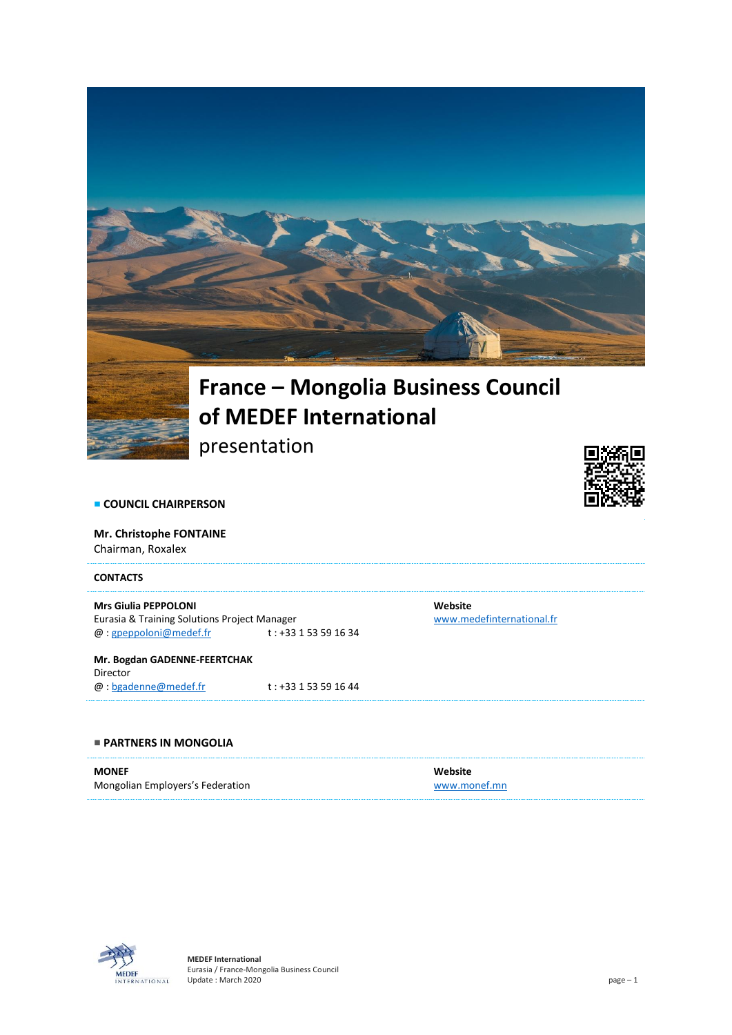

# **of MEDEF International**

presentation



**COUNCIL CHAIRPERSON** 

**Mr. Christophe FONTAINE** Chairman, Roxalex

## **CONTACTS**

#### **Mrs Giulia PEPPOLONI**

Eurasia & Training Solutions Project Manager<br>  $@:gpeppolon@medef.fr$  t: +33 1 53 59 16 34  $@:gpeppoloni@medef.fr$ 

**Mr. Bogdan GADENNE-FEERTCHAK** Director  $@: **bgadenne@medef.fr**$   $t : +33 1 53 59 16 44$ 

## **PARTNERS IN MONGOLIA**

**MONEF** Mongolian Employers's Federation

**Website** [www.monef.mn](http://www.monef.mn/)

**Website**

[www.medefinternational.fr](http://www.medefinternational.fr/)